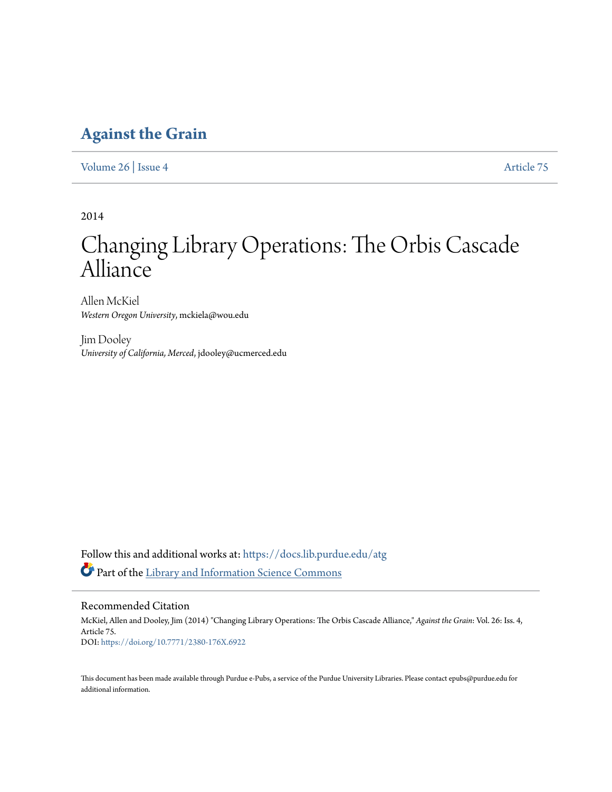# **[Against the Grain](https://docs.lib.purdue.edu/atg?utm_source=docs.lib.purdue.edu%2Fatg%2Fvol26%2Fiss4%2F75&utm_medium=PDF&utm_campaign=PDFCoverPages)**

[Volume 26](https://docs.lib.purdue.edu/atg/vol26?utm_source=docs.lib.purdue.edu%2Fatg%2Fvol26%2Fiss4%2F75&utm_medium=PDF&utm_campaign=PDFCoverPages) | [Issue 4](https://docs.lib.purdue.edu/atg/vol26/iss4?utm_source=docs.lib.purdue.edu%2Fatg%2Fvol26%2Fiss4%2F75&utm_medium=PDF&utm_campaign=PDFCoverPages) [Article 75](https://docs.lib.purdue.edu/atg/vol26/iss4/75?utm_source=docs.lib.purdue.edu%2Fatg%2Fvol26%2Fiss4%2F75&utm_medium=PDF&utm_campaign=PDFCoverPages)

2014

# Changing Library Operations: The Orbis Cascade Alliance

Allen McKiel *Western Oregon University*, mckiela@wou.edu

Jim Dooley *University of California, Merced*, jdooley@ucmerced.edu

Follow this and additional works at: [https://docs.lib.purdue.edu/atg](https://docs.lib.purdue.edu/atg?utm_source=docs.lib.purdue.edu%2Fatg%2Fvol26%2Fiss4%2F75&utm_medium=PDF&utm_campaign=PDFCoverPages) Part of the [Library and Information Science Commons](http://network.bepress.com/hgg/discipline/1018?utm_source=docs.lib.purdue.edu%2Fatg%2Fvol26%2Fiss4%2F75&utm_medium=PDF&utm_campaign=PDFCoverPages)

Recommended Citation

McKiel, Allen and Dooley, Jim (2014) "Changing Library Operations: The Orbis Cascade Alliance," *Against the Grain*: Vol. 26: Iss. 4, Article 75. DOI: <https://doi.org/10.7771/2380-176X.6922>

This document has been made available through Purdue e-Pubs, a service of the Purdue University Libraries. Please contact epubs@purdue.edu for additional information.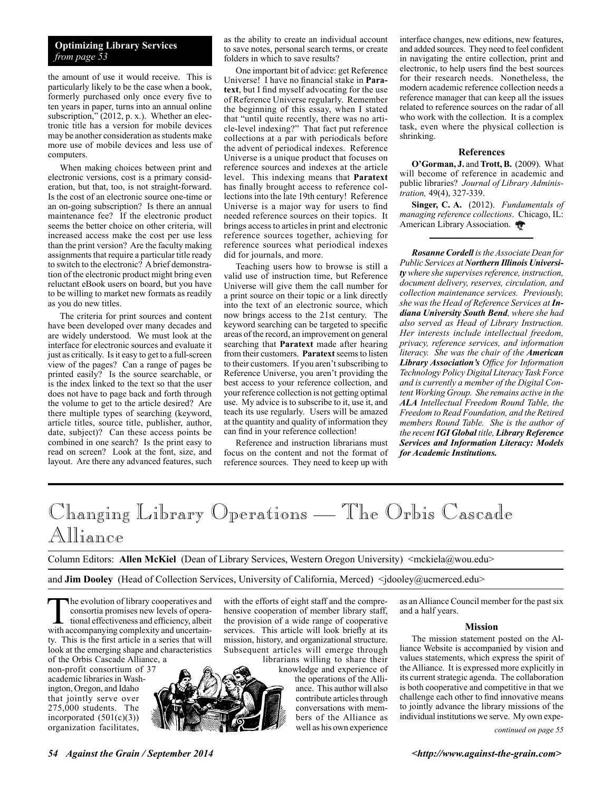# **Optimizing Library Services** *from page 53*

the amount of use it would receive.This is particularly likely to be the case when a book, formerly purchased only once every five to ten years in paper, turns into an annual online subscription," (2012, p. x.).Whether an electronic title has a version for mobile devices may be another consideration as students make more use of mobile devices and less use of computers.

When making choices between print and electronic versions, cost is a primary consideration, but that, too, is not straight-forward. Is the cost of an electronic source one-time or an on-going subscription? Is there an annual maintenance fee? If the electronic product seems the better choice on other criteria, will increased access make the cost per use less than the print version? Are the faculty making assignments that require a particular title ready to switch to the electronic? A brief demonstration of the electronic product might bring even reluctant eBook users on board, but you have to be willing to market new formats as readily as you do new titles.

The criteria for print sources and content have been developed over many decades and are widely understood.We must look at the interface for electronic sources and evaluate it just as critically.Is it easy to get to a full-screen view of the pages? Can a range of pages be printed easily? Is the source searchable, or is the index linked to the text so that the user does not have to page back and forth through the volume to get to the article desired? Are there multiple types of searching (keyword, article titles, source title, publisher, author, date, subject)? Can these access points be combined in one search? Is the print easy to read on screen? Look at the font, size, and layout.Are there any advanced features, such as the ability to create an individual account to save notes, personal search terms, or create folders in which to save results?

One important bit of advice: get Reference Universe! I have no financial stake in **Paratext**, but I find myself advocating for the use of Reference Universe regularly.Remember the beginning of this essay, when I stated that "until quite recently, there was no article-level indexing?" That fact put reference collections at a par with periodicals before the advent of periodical indexes.Reference Universe is a unique product that focuses on reference sources and indexes at the article level.This indexing means that **Paratext** has finally brought access to reference collections into the late 19th century! Reference Universe is a major way for users to find needed reference sources on their topics.It brings access to articles in print and electronic reference sources together, achieving for reference sources what periodical indexes did for journals, and more.

Teaching users how to browse is still a valid use of instruction time, but Reference Universe will give them the call number for a print source on their topic or a link directly into the text of an electronic source, which now brings access to the 21st century.The keyword searching can be targeted to specific areas of the record, an improvement on general searching that **Paratext** made after hearing from their customers. **Paratext** seems to listen to their customers.If you aren't subscribing to Reference Universe, you aren't providing the best access to your reference collection, and your reference collection is not getting optimal use.My advice is to subscribe to it, use it, and teach its use regularly.Users will be amazed at the quantity and quality of information they can find in your reference collection!

Reference and instruction librarians must focus on the content and not the format of reference sources.They need to keep up with

interface changes, new editions, new features, and added sources.They need to feel confident in navigating the entire collection, print and electronic, to help users find the best sources for their research needs.Nonetheless, the modern academic reference collection needs a reference manager that can keep all the issues related to reference sources on the radar of all who work with the collection.It is a complex task, even where the physical collection is shrinking.

#### **References**

**O'Gorman, J.** and **Trott, B.** (2009).What will become of reference in academic and public libraries? *Journal of Library Administration,* 49(4), 327-339.

**Singer, C. A.** (2012). *Fundamentals of managing reference collections*. Chicago, IL: American Library Association.

*Rosanne Cordell is the Associate Dean for Public Services at Northern Illinois University where she supervises reference, instruction, document delivery, reserves, circulation, and collection maintenance services. Previously, she was the Head of Reference Services at Indiana University South Bend, where she had also served as Head of Library Instruction. Her interests include intellectual freedom, privacy, reference services, and information literacy. She was the chair of the American Library Association's Office for Information Technology Policy Digital Literacy Task Force and is currently a member of the Digital Content Working Group. She remains active in the ALA Intellectual Freedom Round Table, the Freedom to Read Foundation, and the Retired members Round Table. She is the author of the recent IGI Global title, Library Reference Services and Information Literacy: Models for Academic Institutions.*

# Changing Library Operations — The Orbis Cascade Alliance

Column Editors: **Allen McKiel** (Dean of Library Services, Western Oregon University) <mckiela@wou.edu>

and **Jim Dooley** (Head of Collection Services, University of California, Merced)  $\leq$  dooley@ucmerced.edu>

The evolution of library cooperatives and<br>
consortia promises new levels of opera-<br>
tional effectiveness and efficiency, albeit<br>
with accompanying complexity and uncertainconsortia promises new levels of operawith accompanying complexity and uncertainty. This is the first article in a series that will look at the emerging shape and characteristics of the Orbis Cascade Alliance, a

non-profit consortium of 37 academic libraries in Washington, Oregon, and Idaho that jointly serve over 275,000 students. The incorporated  $(501(c)(3))$ organization facilitates,



with the efforts of eight staff and the comprehensive cooperation of member library staff, the provision of a wide range of cooperative services. This article will look briefly at its mission, history, and organizational structure. Subsequent articles will emerge through

librarians willing to share their knowledge and experience of the operations of the Alliance. This author will also contribute articles through conversations with members of the Alliance as well as his own experience as an Alliance Council member for the past six and a half years.

#### **Mission**

The mission statement posted on the Alliance Website is accompanied by vision and values statements, which express the spirit of the Alliance. It is expressed more explicitly in its current strategic agenda. The collaboration is both cooperative and competitive in that we challenge each other to find innovative means to jointly advance the library missions of the individual institutions we serve. My own expe-

*continued on page 55*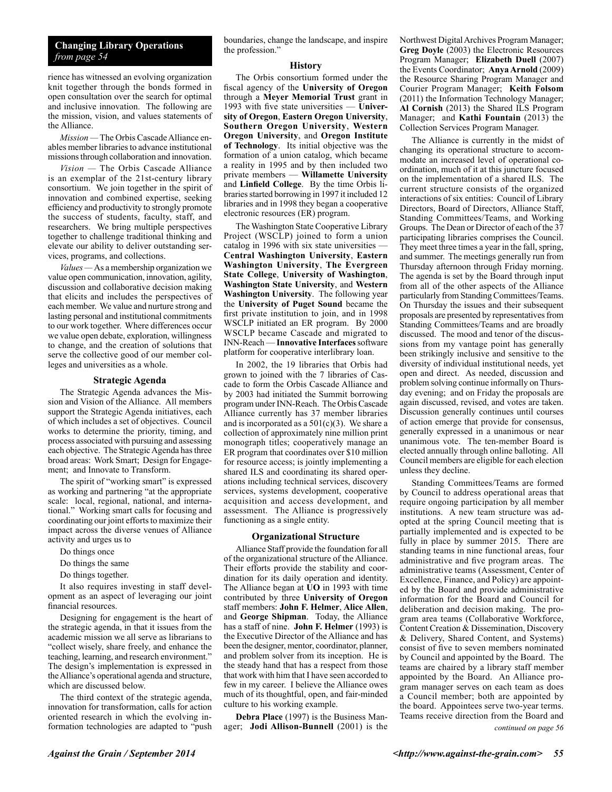### **Changing Library Operations** *from page 54*

rience has witnessed an evolving organization knit together through the bonds formed in open consultation over the search for optimal and inclusive innovation. The following are the mission, vision, and values statements of the Alliance.

*Mission —* The Orbis Cascade Alliance enables member libraries to advance institutional missions through collaboration and innovation.

*Vision —* The Orbis Cascade Alliance is an exemplar of the 21st-century library consortium. We join together in the spirit of innovation and combined expertise, seeking efficiency and productivity to strongly promote the success of students, faculty, staff, and researchers. We bring multiple perspectives together to challenge traditional thinking and elevate our ability to deliver outstanding services, programs, and collections.

*Values —* As a membership organization we value open communication, innovation, agility, discussion and collaborative decision making that elicits and includes the perspectives of each member. We value and nurture strong and lasting personal and institutional commitments to our work together. Where differences occur we value open debate, exploration, willingness to change, and the creation of solutions that serve the collective good of our member colleges and universities as a whole.

#### **Strategic Agenda**

The Strategic Agenda advances the Mission and Vision of the Alliance. All members support the Strategic Agenda initiatives, each of which includes a set of objectives. Council works to determine the priority, timing, and process associated with pursuing and assessing each objective. The Strategic Agenda has three broad areas: Work Smart; Design for Engagement; and Innovate to Transform.

The spirit of "working smart" is expressed as working and partnering "at the appropriate scale: local, regional, national, and international." Working smart calls for focusing and coordinating our joint efforts to maximize their impact across the diverse venues of Alliance activity and urges us to

- Do things once
- Do things the same
- Do things together.

It also requires investing in staff development as an aspect of leveraging our joint financial resources.

Designing for engagement is the heart of the strategic agenda, in that it issues from the academic mission we all serve as librarians to "collect wisely, share freely, and enhance the teaching, learning, and research environment." The design's implementation is expressed in the Alliance's operational agenda and structure, which are discussed below.

The third context of the strategic agenda, innovation for transformation, calls for action oriented research in which the evolving information technologies are adapted to "push boundaries, change the landscape, and inspire the profession."

#### **History**

The Orbis consortium formed under the fiscal agency of the **University of Oregon** through a **Meyer Memorial Trust** grant in 1993 with five state universities — **University of Oregon**, **Eastern Oregon University**, **Southern Oregon University**, **Western Oregon University**, and **Oregon Institute of Technology**. Its initial objective was the formation of a union catalog, which became a reality in 1995 and by then included two private members — **Willamette University** and **Linfield College**. By the time Orbis libraries started borrowing in 1997 it included 12 libraries and in 1998 they began a cooperative electronic resources (ER) program.

The Washington State Cooperative Library Project (WSCLP) joined to form a union catalog in 1996 with six state universities — **Central Washington University**, **Eastern Washington University**, **The Evergreen State College**, **University of Washington**, **Washington State University**, and **Western Washington University**. The following year the **University of Puget Sound** became the first private institution to join, and in 1998 WSCLP initiated an ER program. By 2000 WSCLP became Cascade and migrated to INN-Reach — **Innovative Interfaces** software platform for cooperative interlibrary loan.

In 2002, the 19 libraries that Orbis had grown to joined with the 7 libraries of Cascade to form the Orbis Cascade Alliance and by 2003 had initiated the Summit borrowing program under INN-Reach. The Orbis Cascade Alliance currently has 37 member libraries and is incorporated as a  $501(c)(3)$ . We share a collection of approximately nine million print monograph titles; cooperatively manage an ER program that coordinates over \$10 million for resource access; is jointly implementing a shared ILS and coordinating its shared operations including technical services, discovery services, systems development, cooperative acquisition and access development, and assessment. The Alliance is progressively functioning as a single entity.

#### **Organizational Structure**

Alliance Staff provide the foundation for all of the organizational structure of the Alliance. Their efforts provide the stability and coordination for its daily operation and identity. The Alliance began at **UO** in 1993 with time contributed by three **University of Oregon** staff members: **John F. Helmer**, **Alice Allen**, and **George Shipman**. Today, the Alliance has a staff of nine. **John F. Helmer** (1993) is the Executive Director of the Alliance and has been the designer, mentor, coordinator, planner, and problem solver from its inception. He is the steady hand that has a respect from those that work with him that I have seen accorded to few in my career. I believe the Alliance owes much of its thoughtful, open, and fair-minded culture to his working example.

**Debra Place** (1997) is the Business Manager; **Jodi Allison-Bunnell** (2001) is the Northwest Digital Archives Program Manager; **Greg Doyle** (2003) the Electronic Resources Program Manager; **Elizabeth Duell** (2007) the Events Coordinator; **Anya Arnold** (2009) the Resource Sharing Program Manager and Courier Program Manager; **Keith Folsom** (2011) the Information Technology Manager; **Al Cornish** (2013) the Shared ILS Program Manager; and **Kathi Fountain** (2013) the Collection Services Program Manager.

The Alliance is currently in the midst of changing its operational structure to accommodate an increased level of operational coordination, much of it at this juncture focused on the implementation of a shared ILS. The current structure consists of the organized interactions of six entities: Council of Library Directors, Board of Directors, Alliance Staff, Standing Committees/Teams, and Working Groups. The Dean or Director of each of the 37 participating libraries comprises the Council. They meet three times a year in the fall, spring, and summer. The meetings generally run from Thursday afternoon through Friday morning. The agenda is set by the Board through input from all of the other aspects of the Alliance particularly from Standing Committees/Teams. On Thursday the issues and their subsequent proposals are presented by representatives from Standing Committees/Teams and are broadly discussed. The mood and tenor of the discussions from my vantage point has generally been strikingly inclusive and sensitive to the diversity of individual institutional needs, yet open and direct. As needed, discussion and problem solving continue informally on Thursday evening; and on Friday the proposals are again discussed, revised, and votes are taken. Discussion generally continues until courses of action emerge that provide for consensus, generally expressed in a unanimous or near unanimous vote. The ten-member Board is elected annually through online balloting. All Council members are eligible for each election unless they decline.

Standing Committees/Teams are formed by Council to address operational areas that require ongoing participation by all member institutions. A new team structure was adopted at the spring Council meeting that is partially implemented and is expected to be fully in place by summer 2015. There are standing teams in nine functional areas, four administrative and five program areas. The administrative teams (Assessment, Center of Excellence, Finance, and Policy) are appointed by the Board and provide administrative information for the Board and Council for deliberation and decision making. The program area teams (Collaborative Workforce, Content Creation & Dissemination, Discovery & Delivery, Shared Content, and Systems) consist of five to seven members nominated by Council and appointed by the Board. The teams are chaired by a library staff member appointed by the Board. An Alliance program manager serves on each team as does a Council member; both are appointed by the board. Appointees serve two-year terms. Teams receive direction from the Board and

*continued on page 56*